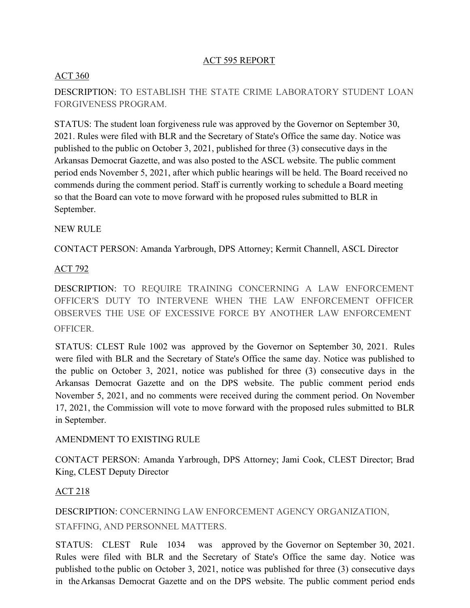## ACT 595 REPORT

## ACT 360

DESCRIPTION: TO ESTABLISH THE STATE CRIME LABORATORY STUDENT LOAN FORGIVENESS PROGRAM.

STATUS: The student loan forgiveness rule was approved by the Governor on September 30, 2021. Rules were filed with BLR and the Secretary of State's Office the same day. Notice was published to the public on October 3, 2021, published for three (3) consecutive days in the Arkansas Democrat Gazette, and was also posted to the ASCL website. The public comment period ends November 5, 2021, after which public hearings will be held. The Board received no commends during the comment period. Staff is currently working to schedule a Board meeting so that the Board can vote to move forward with he proposed rules submitted to BLR in September.

### NEW RULE

CONTACT PERSON: Amanda Yarbrough, DPS Attorney; Kermit Channell, ASCL Director

### ACT 792

DESCRIPTION: TO REQUIRE TRAINING CONCERNING A LAW ENFORCEMENT OFFICER'S DUTY TO INTERVENE WHEN THE LAW ENFORCEMENT OFFICER OBSERVES THE USE OF EXCESSIVE FORCE BY ANOTHER LAW ENFORCEMENT OFFICER.

STATUS: CLEST Rule 1002 was approved by the Governor on September 30, 2021. Rules were filed with BLR and the Secretary of State's Office the same day. Notice was published to the public on October 3, 2021, notice was published for three (3) consecutive days in the Arkansas Democrat Gazette and on the DPS website. The public comment period ends November 5, 2021, and no comments were received during the comment period. On November 17, 2021, the Commission will vote to move forward with the proposed rules submitted to BLR in September.

### AMENDMENT TO EXISTING RULE

CONTACT PERSON: Amanda Yarbrough, DPS Attorney; Jami Cook, CLEST Director; Brad King, CLEST Deputy Director

## ACT 218

DESCRIPTION: CONCERNING LAW ENFORCEMENT AGENCY ORGANIZATION, STAFFING, AND PERSONNEL MATTERS.

STATUS: CLEST Rule 1034 was approved by the Governor on September 30, 2021. Rules were filed with BLR and the Secretary of State's Office the same day. Notice was published to the public on October 3, 2021, notice was published for three (3) consecutive days in theArkansas Democrat Gazette and on the DPS website. The public comment period ends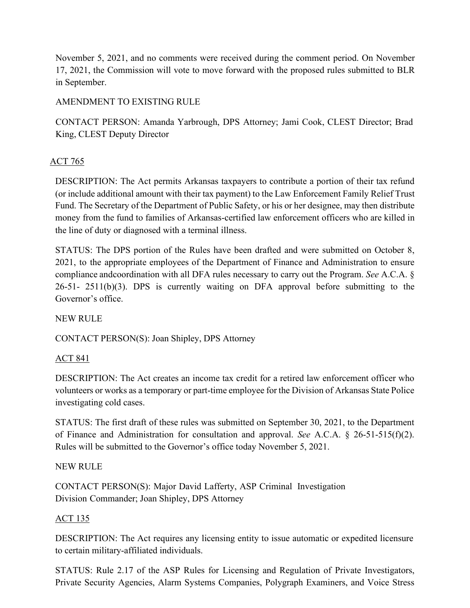November 5, 2021, and no comments were received during the comment period. On November 17, 2021, the Commission will vote to move forward with the proposed rules submitted to BLR in September.

# AMENDMENT TO EXISTING RULE

CONTACT PERSON: Amanda Yarbrough, DPS Attorney; Jami Cook, CLEST Director; Brad King, CLEST Deputy Director

# ACT 765

DESCRIPTION: The Act permits Arkansas taxpayers to contribute a portion of their tax refund (or include additional amount with their tax payment) to the Law Enforcement Family Relief Trust Fund. The Secretary of the Department of Public Safety, or his or her designee, may then distribute money from the fund to families of Arkansas-certified law enforcement officers who are killed in the line of duty or diagnosed with a terminal illness.

STATUS: The DPS portion of the Rules have been drafted and were submitted on October 8, 2021, to the appropriate employees of the Department of Finance and Administration to ensure compliance andcoordination with all DFA rules necessary to carry out the Program. *See* A.C.A. § 26-51- 2511(b)(3). DPS is currently waiting on DFA approval before submitting to the Governor's office.

NEW RULE

CONTACT PERSON(S): Joan Shipley, DPS Attorney

# ACT 841

DESCRIPTION: The Act creates an income tax credit for a retired law enforcement officer who volunteers or works as a temporary or part-time employee for the Division of Arkansas State Police investigating cold cases.

STATUS: The first draft of these rules was submitted on September 30, 2021, to the Department of Finance and Administration for consultation and approval. *See* A.C.A. § 26-51-515(f)(2). Rules will be submitted to the Governor's office today November 5, 2021.

## NEW RULE

CONTACT PERSON(S): Major David Lafferty, ASP Criminal Investigation Division Commander; Joan Shipley, DPS Attorney

# ACT 135

DESCRIPTION: The Act requires any licensing entity to issue automatic or expedited licensure to certain military-affiliated individuals.

STATUS: Rule 2.17 of the ASP Rules for Licensing and Regulation of Private Investigators, Private Security Agencies, Alarm Systems Companies, Polygraph Examiners, and Voice Stress